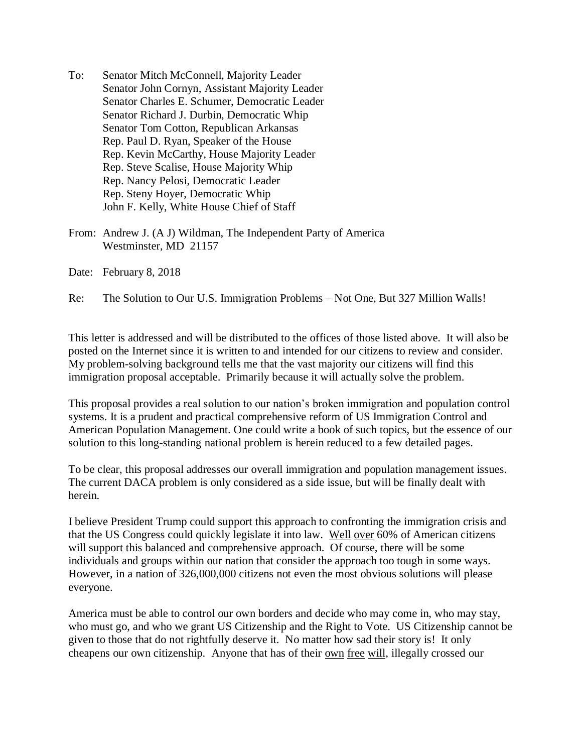- To: Senator Mitch McConnell, Majority Leader Senator John Cornyn, Assistant Majority Leader Senator Charles E. Schumer, Democratic Leader Senator Richard J. Durbin, Democratic Whip Senator Tom Cotton, Republican Arkansas Rep. Paul D. Ryan, Speaker of the House Rep. Kevin McCarthy, House Majority Leader Rep. Steve Scalise, House Majority Whip Rep. Nancy Pelosi, Democratic Leader Rep. Steny Hoyer, Democratic Whip John F. Kelly, White House Chief of Staff
- From: Andrew J. (A J) Wildman, The Independent Party of America Westminster, MD 21157

Date: February 8, 2018

Re: The Solution to Our U.S. Immigration Problems – Not One, But 327 Million Walls!

This letter is addressed and will be distributed to the offices of those listed above. It will also be posted on the Internet since it is written to and intended for our citizens to review and consider. My problem-solving background tells me that the vast majority our citizens will find this immigration proposal acceptable. Primarily because it will actually solve the problem.

This proposal provides a real solution to our nation's broken immigration and population control systems. It is a prudent and practical comprehensive reform of US Immigration Control and American Population Management. One could write a book of such topics, but the essence of our solution to this long-standing national problem is herein reduced to a few detailed pages.

To be clear, this proposal addresses our overall immigration and population management issues. The current DACA problem is only considered as a side issue, but will be finally dealt with herein.

I believe President Trump could support this approach to confronting the immigration crisis and that the US Congress could quickly legislate it into law. Well over 60% of American citizens will support this balanced and comprehensive approach. Of course, there will be some individuals and groups within our nation that consider the approach too tough in some ways. However, in a nation of 326,000,000 citizens not even the most obvious solutions will please everyone.

America must be able to control our own borders and decide who may come in, who may stay, who must go, and who we grant US Citizenship and the Right to Vote. US Citizenship cannot be given to those that do not rightfully deserve it. No matter how sad their story is! It only cheapens our own citizenship. Anyone that has of their <u>own free will</u>, illegally crossed our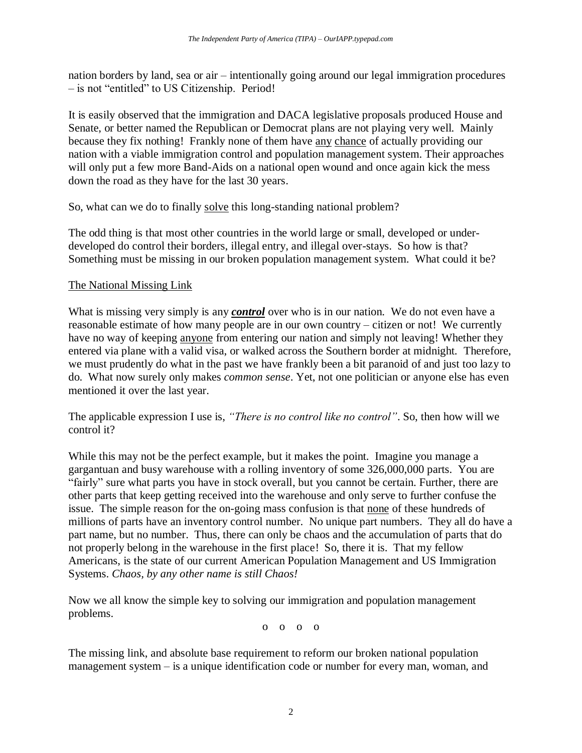nation borders by land, sea or air – intentionally going around our legal immigration procedures – is not "entitled" to US Citizenship. Period!

It is easily observed that the immigration and DACA legislative proposals produced House and Senate, or better named the Republican or Democrat plans are not playing very well. Mainly because they fix nothing! Frankly none of them have any chance of actually providing our nation with a viable immigration control and population management system. Their approaches will only put a few more Band-Aids on a national open wound and once again kick the mess down the road as they have for the last 30 years.

So, what can we do to finally solve this long-standing national problem?

The odd thing is that most other countries in the world large or small, developed or underdeveloped do control their borders, illegal entry, and illegal over-stays. So how is that? Something must be missing in our broken population management system. What could it be?

### The National Missing Link

What is missing very simply is any *control* over who is in our nation. We do not even have a reasonable estimate of how many people are in our own country – citizen or not! We currently have no way of keeping anyone from entering our nation and simply not leaving! Whether they entered via plane with a valid visa, or walked across the Southern border at midnight. Therefore, we must prudently do what in the past we have frankly been a bit paranoid of and just too lazy to do. What now surely only makes *common sense*. Yet, not one politician or anyone else has even mentioned it over the last year.

The applicable expression I use is, *"There is no control like no control"*. So, then how will we control it?

While this may not be the perfect example, but it makes the point. Imagine you manage a gargantuan and busy warehouse with a rolling inventory of some 326,000,000 parts. You are "fairly" sure what parts you have in stock overall, but you cannot be certain. Further, there are other parts that keep getting received into the warehouse and only serve to further confuse the issue. The simple reason for the on-going mass confusion is that none of these hundreds of millions of parts have an inventory control number. No unique part numbers. They all do have a part name, but no number. Thus, there can only be chaos and the accumulation of parts that do not properly belong in the warehouse in the first place! So, there it is. That my fellow Americans, is the state of our current American Population Management and US Immigration Systems. *Chaos, by any other name is still Chaos!*

Now we all know the simple key to solving our immigration and population management problems.

o o o o

The missing link, and absolute base requirement to reform our broken national population management system – is a unique identification code or number for every man, woman, and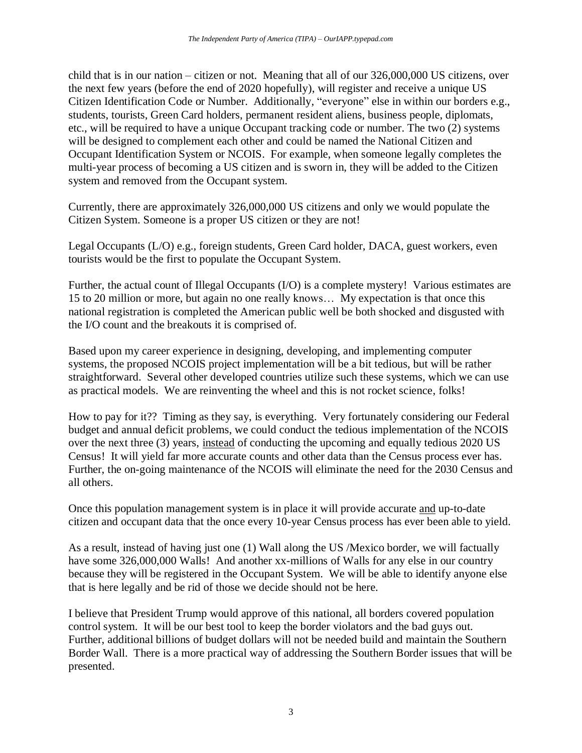child that is in our nation – citizen or not. Meaning that all of our 326,000,000 US citizens, over the next few years (before the end of 2020 hopefully), will register and receive a unique US Citizen Identification Code or Number. Additionally, "everyone" else in within our borders e.g., students, tourists, Green Card holders, permanent resident aliens, business people, diplomats, etc., will be required to have a unique Occupant tracking code or number. The two (2) systems will be designed to complement each other and could be named the National Citizen and Occupant Identification System or NCOIS. For example, when someone legally completes the multi-year process of becoming a US citizen and is sworn in, they will be added to the Citizen system and removed from the Occupant system.

Currently, there are approximately 326,000,000 US citizens and only we would populate the Citizen System. Someone is a proper US citizen or they are not!

Legal Occupants (L/O) e.g., foreign students, Green Card holder, DACA, guest workers, even tourists would be the first to populate the Occupant System.

Further, the actual count of Illegal Occupants (I/O) is a complete mystery! Various estimates are 15 to 20 million or more, but again no one really knows… My expectation is that once this national registration is completed the American public well be both shocked and disgusted with the I/O count and the breakouts it is comprised of.

Based upon my career experience in designing, developing, and implementing computer systems, the proposed NCOIS project implementation will be a bit tedious, but will be rather straightforward. Several other developed countries utilize such these systems, which we can use as practical models. We are reinventing the wheel and this is not rocket science, folks!

How to pay for it?? Timing as they say, is everything. Very fortunately considering our Federal budget and annual deficit problems, we could conduct the tedious implementation of the NCOIS over the next three (3) years, instead of conducting the upcoming and equally tedious 2020 US Census! It will yield far more accurate counts and other data than the Census process ever has. Further, the on-going maintenance of the NCOIS will eliminate the need for the 2030 Census and all others.

Once this population management system is in place it will provide accurate and up-to-date citizen and occupant data that the once every 10-year Census process has ever been able to yield.

As a result, instead of having just one (1) Wall along the US /Mexico border, we will factually have some 326,000,000 Walls! And another xx-millions of Walls for any else in our country because they will be registered in the Occupant System. We will be able to identify anyone else that is here legally and be rid of those we decide should not be here.

I believe that President Trump would approve of this national, all borders covered population control system. It will be our best tool to keep the border violators and the bad guys out. Further, additional billions of budget dollars will not be needed build and maintain the Southern Border Wall. There is a more practical way of addressing the Southern Border issues that will be presented.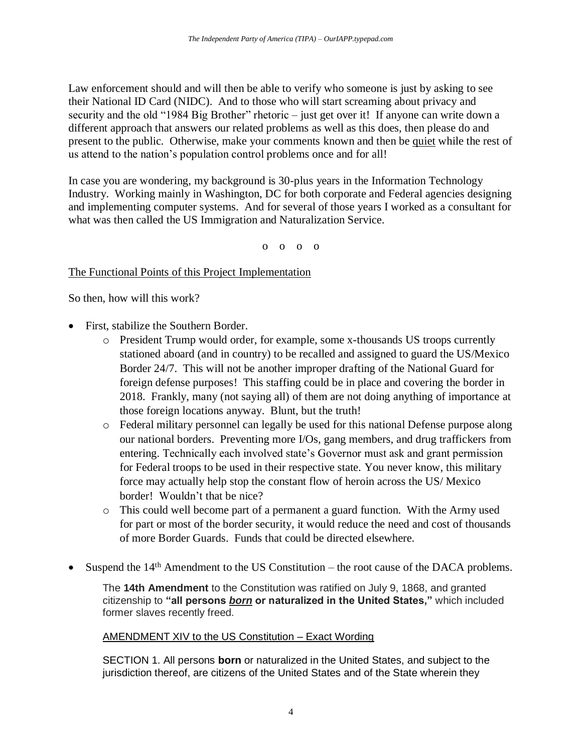Law enforcement should and will then be able to verify who someone is just by asking to see their National ID Card (NIDC). And to those who will start screaming about privacy and security and the old "1984 Big Brother" rhetoric – just get over it! If anyone can write down a different approach that answers our related problems as well as this does, then please do and present to the public. Otherwise, make your comments known and then be quiet while the rest of us attend to the nation's population control problems once and for all!

In case you are wondering, my background is 30-plus years in the Information Technology Industry. Working mainly in Washington, DC for both corporate and Federal agencies designing and implementing computer systems. And for several of those years I worked as a consultant for what was then called the US Immigration and Naturalization Service.

o o o o

### The Functional Points of this Project Implementation

So then, how will this work?

- First, stabilize the Southern Border.
	- o President Trump would order, for example, some x-thousands US troops currently stationed aboard (and in country) to be recalled and assigned to guard the US/Mexico Border 24/7. This will not be another improper drafting of the National Guard for foreign defense purposes! This staffing could be in place and covering the border in 2018. Frankly, many (not saying all) of them are not doing anything of importance at those foreign locations anyway. Blunt, but the truth!
	- o Federal military personnel can legally be used for this national Defense purpose along our national borders. Preventing more I/Os, gang members, and drug traffickers from entering. Technically each involved state's Governor must ask and grant permission for Federal troops to be used in their respective state. You never know, this military force may actually help stop the constant flow of heroin across the US/ Mexico border! Wouldn't that be nice?
	- o This could well become part of a permanent a guard function. With the Army used for part or most of the border security, it would reduce the need and cost of thousands of more Border Guards. Funds that could be directed elsewhere.
- Suspend the 14<sup>th</sup> Amendment to the US Constitution the root cause of the DACA problems.

The **14th Amendment** to the Constitution was ratified on July 9, 1868, and granted citizenship to **"all persons** *born* **or naturalized in the United States,"** which included former slaves recently freed.

### AMENDMENT XIV to the US Constitution – Exact Wording

SECTION 1. All persons **born** or naturalized in the United States, and subject to the jurisdiction thereof, are citizens of the United States and of the State wherein they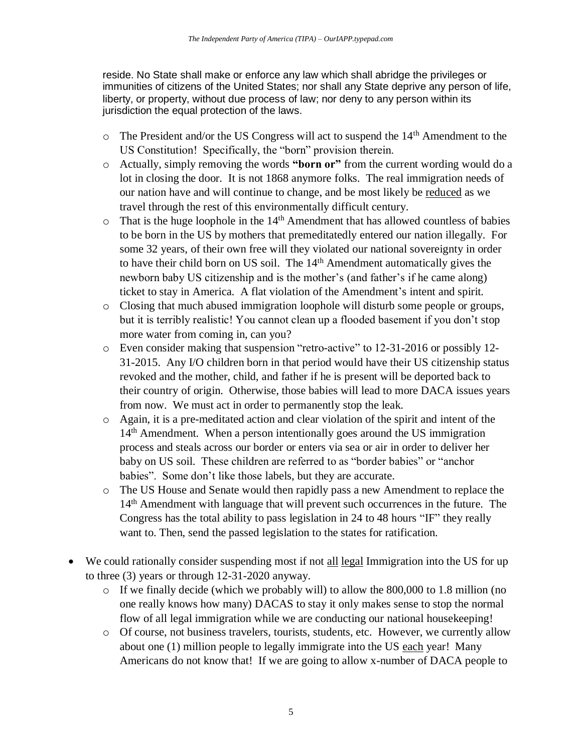reside. No State shall make or enforce any law which shall abridge the privileges or immunities of citizens of the United States; nor shall any State deprive any person of life, liberty, or property, without due process of law; nor deny to any person within its jurisdiction the equal protection of the laws.

- o The President and/or the US Congress will act to suspend the 14th Amendment to the US Constitution! Specifically, the "born" provision therein.
- o Actually, simply removing the words **"born or"** from the current wording would do a lot in closing the door. It is not 1868 anymore folks. The real immigration needs of our nation have and will continue to change, and be most likely be reduced as we travel through the rest of this environmentally difficult century.
- $\circ$  That is the huge loophole in the 14<sup>th</sup> Amendment that has allowed countless of babies to be born in the US by mothers that premeditatedly entered our nation illegally. For some 32 years, of their own free will they violated our national sovereignty in order to have their child born on US soil. The 14<sup>th</sup> Amendment automatically gives the newborn baby US citizenship and is the mother's (and father's if he came along) ticket to stay in America. A flat violation of the Amendment's intent and spirit.
- o Closing that much abused immigration loophole will disturb some people or groups, but it is terribly realistic! You cannot clean up a flooded basement if you don't stop more water from coming in, can you?
- o Even consider making that suspension "retro-active" to 12-31-2016 or possibly 12- 31-2015. Any I/O children born in that period would have their US citizenship status revoked and the mother, child, and father if he is present will be deported back to their country of origin. Otherwise, those babies will lead to more DACA issues years from now. We must act in order to permanently stop the leak.
- o Again, it is a pre-meditated action and clear violation of the spirit and intent of the 14<sup>th</sup> Amendment. When a person intentionally goes around the US immigration process and steals across our border or enters via sea or air in order to deliver her baby on US soil. These children are referred to as "border babies" or "anchor babies". Some don't like those labels, but they are accurate.
- o The US House and Senate would then rapidly pass a new Amendment to replace the 14th Amendment with language that will prevent such occurrences in the future. The Congress has the total ability to pass legislation in 24 to 48 hours "IF" they really want to. Then, send the passed legislation to the states for ratification.
- We could rationally consider suspending most if not all legal Immigration into the US for up to three (3) years or through 12-31-2020 anyway.
	- o If we finally decide (which we probably will) to allow the 800,000 to 1.8 million (no one really knows how many) DACAS to stay it only makes sense to stop the normal flow of all legal immigration while we are conducting our national housekeeping!
	- o Of course, not business travelers, tourists, students, etc. However, we currently allow about one (1) million people to legally immigrate into the US each year! Many Americans do not know that! If we are going to allow x-number of DACA people to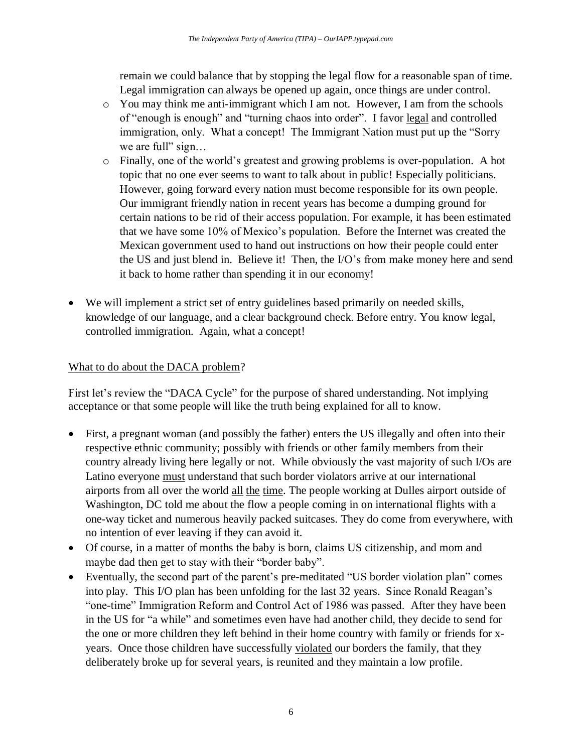remain we could balance that by stopping the legal flow for a reasonable span of time. Legal immigration can always be opened up again, once things are under control.

- o You may think me anti-immigrant which I am not. However, I am from the schools of "enough is enough" and "turning chaos into order". I favor legal and controlled immigration, only. What a concept! The Immigrant Nation must put up the "Sorry we are full" sign...
- o Finally, one of the world's greatest and growing problems is over-population. A hot topic that no one ever seems to want to talk about in public! Especially politicians. However, going forward every nation must become responsible for its own people. Our immigrant friendly nation in recent years has become a dumping ground for certain nations to be rid of their access population. For example, it has been estimated that we have some 10% of Mexico's population. Before the Internet was created the Mexican government used to hand out instructions on how their people could enter the US and just blend in. Believe it! Then, the I/O's from make money here and send it back to home rather than spending it in our economy!
- We will implement a strict set of entry guidelines based primarily on needed skills, knowledge of our language, and a clear background check. Before entry. You know legal, controlled immigration. Again, what a concept!

# What to do about the DACA problem?

First let's review the "DACA Cycle" for the purpose of shared understanding. Not implying acceptance or that some people will like the truth being explained for all to know.

- First, a pregnant woman (and possibly the father) enters the US illegally and often into their respective ethnic community; possibly with friends or other family members from their country already living here legally or not. While obviously the vast majority of such I/Os are Latino everyone must understand that such border violators arrive at our international airports from all over the world all the time. The people working at Dulles airport outside of Washington, DC told me about the flow a people coming in on international flights with a one-way ticket and numerous heavily packed suitcases. They do come from everywhere, with no intention of ever leaving if they can avoid it.
- Of course, in a matter of months the baby is born, claims US citizenship, and mom and maybe dad then get to stay with their "border baby".
- Eventually, the second part of the parent's pre-meditated "US border violation plan" comes into play. This I/O plan has been unfolding for the last 32 years. Since Ronald Reagan's "one-time" Immigration Reform and Control Act of 1986 was passed. After they have been in the US for "a while" and sometimes even have had another child, they decide to send for the one or more children they left behind in their home country with family or friends for xyears. Once those children have successfully violated our borders the family, that they deliberately broke up for several years, is reunited and they maintain a low profile.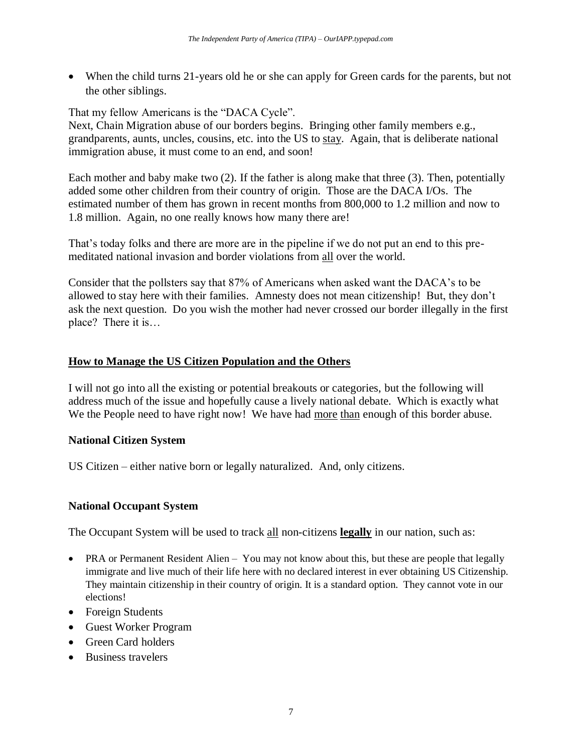• When the child turns 21-years old he or she can apply for Green cards for the parents, but not the other siblings.

That my fellow Americans is the "DACA Cycle".

Next, Chain Migration abuse of our borders begins. Bringing other family members e.g., grandparents, aunts, uncles, cousins, etc. into the US to stay. Again, that is deliberate national immigration abuse, it must come to an end, and soon!

Each mother and baby make two (2). If the father is along make that three (3). Then, potentially added some other children from their country of origin. Those are the DACA I/Os. The estimated number of them has grown in recent months from 800,000 to 1.2 million and now to 1.8 million. Again, no one really knows how many there are!

That's today folks and there are more are in the pipeline if we do not put an end to this premeditated national invasion and border violations from all over the world.

Consider that the pollsters say that 87% of Americans when asked want the DACA's to be allowed to stay here with their families. Amnesty does not mean citizenship! But, they don't ask the next question. Do you wish the mother had never crossed our border illegally in the first place? There it is…

# **How to Manage the US Citizen Population and the Others**

I will not go into all the existing or potential breakouts or categories, but the following will address much of the issue and hopefully cause a lively national debate. Which is exactly what We the People need to have right now! We have had more than enough of this border abuse.

### **National Citizen System**

US Citizen – either native born or legally naturalized. And, only citizens.

# **National Occupant System**

The Occupant System will be used to track all non-citizens **legally** in our nation, such as:

- PRA or Permanent Resident Alien You may not know about this, but these are people that legally immigrate and live much of their life here with no declared interest in ever obtaining US Citizenship. They maintain citizenship in their country of origin. It is a standard option. They cannot vote in our elections!
- Foreign Students
- Guest Worker Program
- Green Card holders
- Business travelers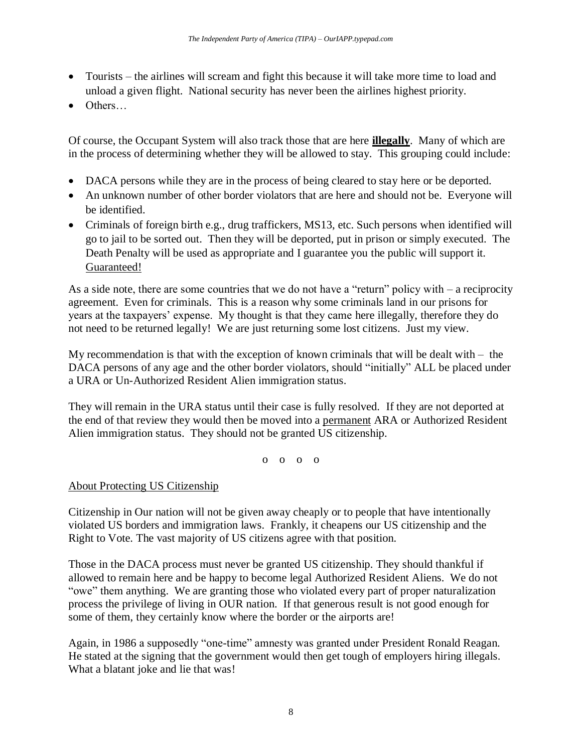- Tourists the airlines will scream and fight this because it will take more time to load and unload a given flight. National security has never been the airlines highest priority.
- Others…

Of course, the Occupant System will also track those that are here **illegally**. Many of which are in the process of determining whether they will be allowed to stay. This grouping could include:

- DACA persons while they are in the process of being cleared to stay here or be deported.
- An unknown number of other border violators that are here and should not be. Everyone will be identified.
- Criminals of foreign birth e.g., drug traffickers, MS13, etc. Such persons when identified will go to jail to be sorted out. Then they will be deported, put in prison or simply executed. The Death Penalty will be used as appropriate and I guarantee you the public will support it. Guaranteed!

As a side note, there are some countries that we do not have a "return" policy with – a reciprocity agreement. Even for criminals. This is a reason why some criminals land in our prisons for years at the taxpayers' expense. My thought is that they came here illegally, therefore they do not need to be returned legally! We are just returning some lost citizens. Just my view.

My recommendation is that with the exception of known criminals that will be dealt with  $-$  the DACA persons of any age and the other border violators, should "initially" ALL be placed under a URA or Un-Authorized Resident Alien immigration status.

They will remain in the URA status until their case is fully resolved. If they are not deported at the end of that review they would then be moved into a permanent ARA or Authorized Resident Alien immigration status. They should not be granted US citizenship.

o o o o

# About Protecting US Citizenship

Citizenship in Our nation will not be given away cheaply or to people that have intentionally violated US borders and immigration laws. Frankly, it cheapens our US citizenship and the Right to Vote. The vast majority of US citizens agree with that position.

Those in the DACA process must never be granted US citizenship. They should thankful if allowed to remain here and be happy to become legal Authorized Resident Aliens. We do not "owe" them anything. We are granting those who violated every part of proper naturalization process the privilege of living in OUR nation. If that generous result is not good enough for some of them, they certainly know where the border or the airports are!

Again, in 1986 a supposedly "one-time" amnesty was granted under President Ronald Reagan. He stated at the signing that the government would then get tough of employers hiring illegals. What a blatant joke and lie that was!